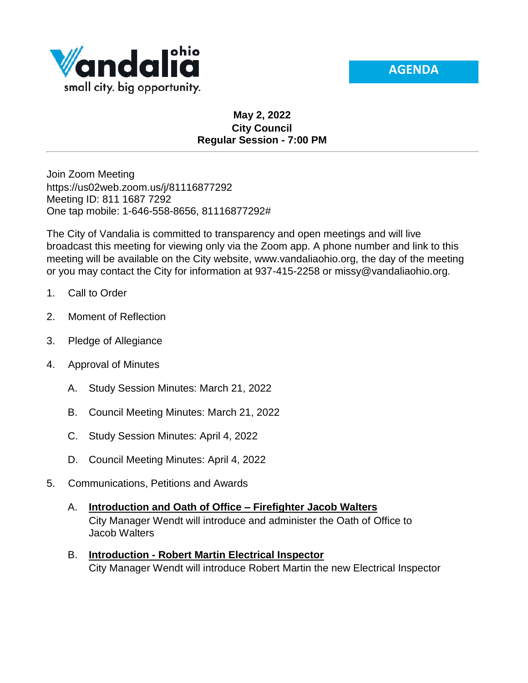



## **May 2, 2022 City Council Regular Session - 7:00 PM**

Join Zoom Meeting https://us02web.zoom.us/j/81116877292 Meeting ID: 811 1687 7292 One tap mobile: 1-646-558-8656, 81116877292#

The City of Vandalia is committed to transparency and open meetings and will live broadcast this meeting for viewing only via the Zoom app. A phone number and link to this meeting will be available on the City website, www.vandaliaohio.org, the day of the meeting or you may contact the City for information at 937-415-2258 or missy@vandaliaohio.org.

- 1. Call to Order
- 2. Moment of Reflection
- 3. Pledge of Allegiance
- 4. Approval of Minutes
	- A. Study Session Minutes: March 21, 2022
	- B. Council Meeting Minutes: March 21, 2022
	- C. Study Session Minutes: April 4, 2022
	- D. Council Meeting Minutes: April 4, 2022
- 5. Communications, Petitions and Awards
	- A. **Introduction and Oath of Office – Firefighter Jacob Walters** City Manager Wendt will introduce and administer the Oath of Office to Jacob Walters
	- B. **Introduction - Robert Martin Electrical Inspector** City Manager Wendt will introduce Robert Martin the new Electrical Inspector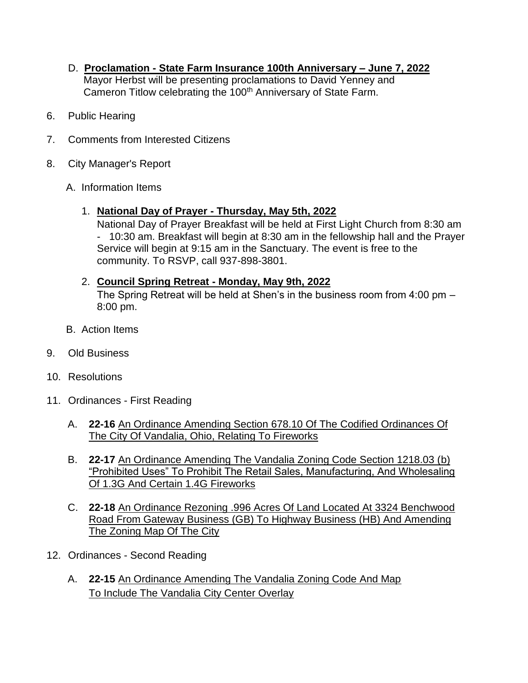- D. **Proclamation - State Farm Insurance 100th Anniversary – June 7, 2022** Mayor Herbst will be presenting proclamations to David Yenney and Cameron Titlow celebrating the 100<sup>th</sup> Anniversary of State Farm.
- 6. Public Hearing
- 7. Comments from Interested Citizens
- 8. City Manager's Report
	- A. Information Items
		- 1. **National Day of Prayer - Thursday, May 5th, 2022**

National Day of Prayer Breakfast will be held at First Light Church from 8:30 am - 10:30 am. Breakfast will begin at 8:30 am in the fellowship hall and the Prayer Service will begin at 9:15 am in the Sanctuary. The event is free to the community. To RSVP, call 937-898-3801.

## 2. **Council Spring Retreat - Monday, May 9th, 2022** The Spring Retreat will be held at Shen's in the business room from 4:00 pm – 8:00 pm.

- B. Action Items
- 9. Old Business
- 10. Resolutions
- 11. Ordinances First Reading
	- A. **22-16** An Ordinance Amending Section 678.10 Of The Codified Ordinances Of The City Of Vandalia, Ohio, Relating To Fireworks
	- B. **22-17** An Ordinance Amending The Vandalia Zoning Code Section 1218.03 (b) "Prohibited Uses" To Prohibit The Retail Sales, Manufacturing, And Wholesaling Of 1.3G And Certain 1.4G Fireworks
	- C. **22-18** An Ordinance Rezoning .996 Acres Of Land Located At 3324 Benchwood Road From Gateway Business (GB) To Highway Business (HB) And Amending The Zoning Map Of The City
- 12. Ordinances Second Reading
	- A. **22-15** An Ordinance Amending The Vandalia Zoning Code And Map To Include The Vandalia City Center Overlay